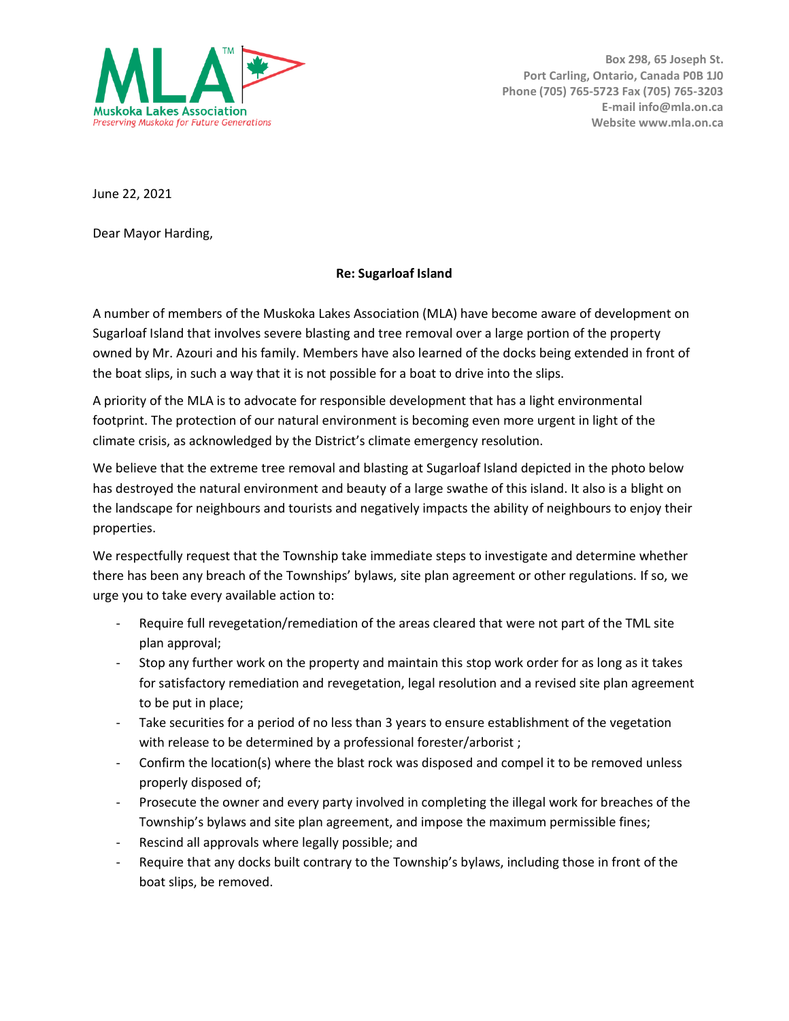

**Box 298, 65 Joseph St. Port Carling, Ontario, Canada P0B 1J0 Phone (705) 765-5723 Fax (705) 765-3203 E-mail info@mla.on.ca Website www.mla.on.ca**

June 22, 2021

Dear Mayor Harding,

## **Re: Sugarloaf Island**

A number of members of the Muskoka Lakes Association (MLA) have become aware of development on Sugarloaf Island that involves severe blasting and tree removal over a large portion of the property owned by Mr. Azouri and his family. Members have also learned of the docks being extended in front of the boat slips, in such a way that it is not possible for a boat to drive into the slips.

A priority of the MLA is to advocate for responsible development that has a light environmental footprint. The protection of our natural environment is becoming even more urgent in light of the climate crisis, as acknowledged by the District's climate emergency resolution.

We believe that the extreme tree removal and blasting at Sugarloaf Island depicted in the photo below has destroyed the natural environment and beauty of a large swathe of this island. It also is a blight on the landscape for neighbours and tourists and negatively impacts the ability of neighbours to enjoy their properties.

We respectfully request that the Township take immediate steps to investigate and determine whether there has been any breach of the Townships' bylaws, site plan agreement or other regulations. If so, we urge you to take every available action to:

- Require full revegetation/remediation of the areas cleared that were not part of the TML site plan approval;
- Stop any further work on the property and maintain this stop work order for as long as it takes for satisfactory remediation and revegetation, legal resolution and a revised site plan agreement to be put in place;
- Take securities for a period of no less than 3 years to ensure establishment of the vegetation with release to be determined by a professional forester/arborist;
- Confirm the location(s) where the blast rock was disposed and compel it to be removed unless properly disposed of;
- Prosecute the owner and every party involved in completing the illegal work for breaches of the Township's bylaws and site plan agreement, and impose the maximum permissible fines;
- Rescind all approvals where legally possible; and
- Require that any docks built contrary to the Township's bylaws, including those in front of the boat slips, be removed.